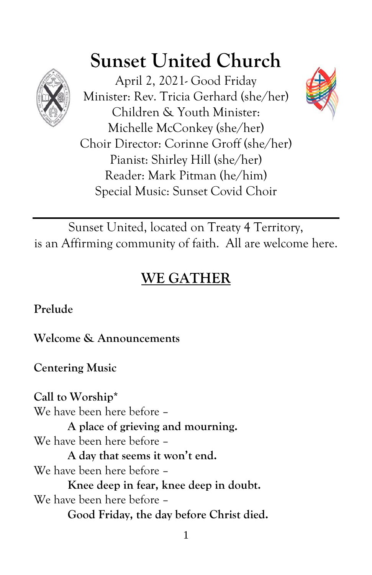

# **Sunset United Church**

April 2, 2021- Good Friday Minister: Rev. Tricia Gerhard (she/her) Children & Youth Minister: Michelle McConkey (she/her) Choir Director: Corinne Groff (she/her) Pianist: Shirley Hill (she/her) Reader: Mark Pitman (he/him) Special Music: Sunset Covid Choir



Sunset United, located on Treaty 4 Territory, is an Affirming community of faith. All are welcome here.

# **WE GATHER**

**Prelude**

**Welcome & Announcements**

**Centering Music**

**Call to Worship\*** We have been here before – **A place of grieving and mourning.** We have been here before – **A day that seems it won't end.** We have been here before – **Knee deep in fear, knee deep in doubt.** We have been here before – **Good Friday, the day before Christ died.**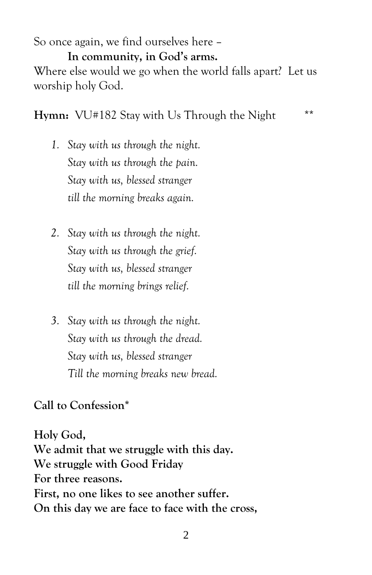So once again, we find ourselves here –

**In community, in God's arms.**

Where else would we go when the world falls apart? Let us worship holy God.

**Hymn:** VU#182 Stay with Us Through the Night \*\*

- *1. Stay with us through the night. Stay with us through the pain. Stay with us, blessed stranger till the morning breaks again.*
- *2. Stay with us through the night. Stay with us through the grief. Stay with us, blessed stranger till the morning brings relief.*
- *3. Stay with us through the night. Stay with us through the dread. Stay with us, blessed stranger Till the morning breaks new bread.*

**Call to Confession\***

**Holy God, We admit that we struggle with this day. We struggle with Good Friday For three reasons. First, no one likes to see another suffer. On this day we are face to face with the cross,**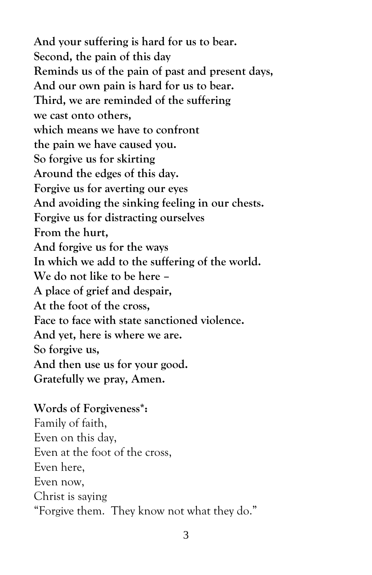**And your suffering is hard for us to bear. Second, the pain of this day Reminds us of the pain of past and present days, And our own pain is hard for us to bear. Third, we are reminded of the suffering we cast onto others, which means we have to confront the pain we have caused you. So forgive us for skirting Around the edges of this day. Forgive us for averting our eyes And avoiding the sinking feeling in our chests. Forgive us for distracting ourselves From the hurt, And forgive us for the ways In which we add to the suffering of the world. We do not like to be here – A place of grief and despair, At the foot of the cross, Face to face with state sanctioned violence. And yet, here is where we are. So forgive us, And then use us for your good. Gratefully we pray, Amen.**

#### **Words of Forgiveness\*:**

Family of faith, Even on this day, Even at the foot of the cross, Even here, Even now, Christ is saying "Forgive them. They know not what they do."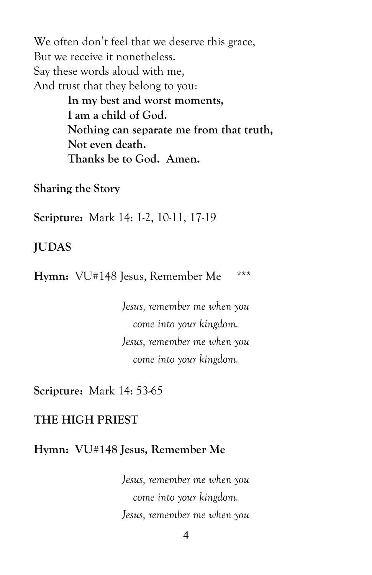We often don't feel that we deserve this grace, But we receive it nonetheless. Say these words aloud with me, And trust that they belong to you:

**In my best and worst moments, I am a child of God. Nothing can separate me from that truth, Not even death. Thanks be to God. Amen.**

**Sharing the Story**

**Scripture:** Mark 14: 1-2, 10-11, 17-19

**JUDAS**

**Hymn:** VU#148 Jesus, Remember Me \*\*\*

*Jesus, remember me when you come into your kingdom. Jesus, remember me when you come into your kingdom.*

**Scripture:** Mark 14: 53-65

### **THE HIGH PRIEST**

#### **Hymn: VU#148 Jesus, Remember Me**

*Jesus, remember me when you come into your kingdom. Jesus, remember me when you*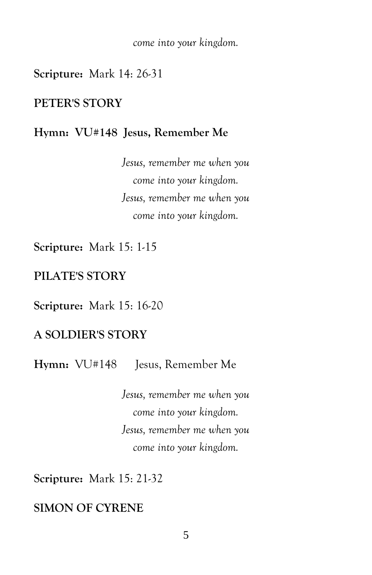*come into your kingdom.*

**Scripture:** Mark 14: 26-31

#### **PETER'S STORY**

#### **Hymn: VU#148 Jesus, Remember Me**

*Jesus, remember me when you come into your kingdom. Jesus, remember me when you come into your kingdom.*

**Scripture:** Mark 15: 1-15

#### **PILATE'S STORY**

**Scripture:** Mark 15: 16-20

#### **A SOLDIER'S STORY**

Hymn:  $VU#148$  Iesus, Remember Me

*Jesus, remember me when you come into your kingdom. Jesus, remember me when you come into your kingdom.*

**Scripture:** Mark 15: 21-32

## **SIMON OF CYRENE**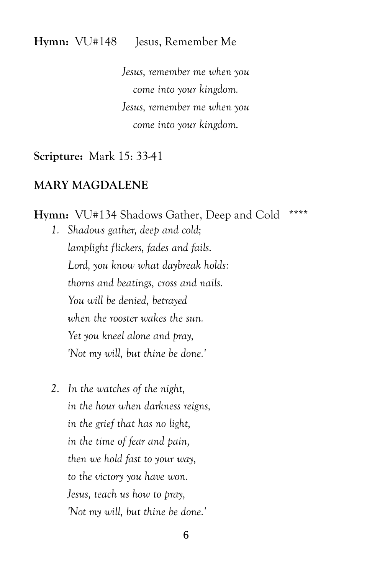#### **Hymn:** VU#148 Jesus, Remember Me

*Jesus, remember me when you come into your kingdom. Jesus, remember me when you come into your kingdom.*

**Scripture:** Mark 15: 33-41

#### **MARY MAGDALENE**

**Hymn:** VU#134 Shadows Gather, Deep and Cold \*\*\*\* *1. Shadows gather, deep and cold; lamplight flickers, fades and fails. Lord, you know what daybreak holds: thorns and beatings, cross and nails. You will be denied, betrayed when the rooster wakes the sun. Yet you kneel alone and pray, 'Not my will, but thine be done.'*

*2. In the watches of the night, in the hour when darkness reigns, in the grief that has no light, in the time of fear and pain, then we hold fast to your way, to the victory you have won. Jesus, teach us how to pray, 'Not my will, but thine be done.'*